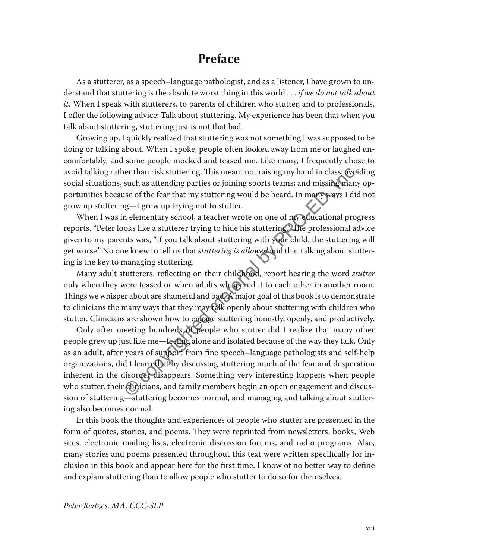## **Preface**

As a stutterer, as a speech–language pathologist, and as a listener, I have grown to understand that stuttering is the absolute worst thing in this world . . . *if we do not talk about it.* When I speak with stutterers, to parents of children who stutter, and to professionals, I offer the following advice: Talk about stuttering. My experience has been that when you talk about stuttering, stuttering just is not that bad.

Growing up, I quickly realized that stuttering was not something I was supposed to be doing or talking about. When I spoke, people often looked away from me or laughed uncomfortably, and some people mocked and teased me. Like many, I frequently chose to avoid talking rather than risk stuttering. This meant not raising my hand in class; avoiding social situations, such as attending parties or joining sports teams; and missing many opportunities because of the fear that my stuttering would be heard. In many ways I did not grow up stuttering—I grew up trying not to stutter.

When I was in elementary school, a teacher wrote on one of my educational progress reports, "Peter looks like a stutterer trying to hide his stuttering." The professional advice given to my parents was, "If you talk about stuttering with your child, the stuttering will get worse." No one knew to tell us that *stuttering is allowed* and that talking about stuttering is the key to managing stuttering.

Many adult stutterers, reflecting on their childhood, report hearing the word *stutter* only when they were teased or when adults whispered it to each other in another room. Things we whisper about are shameful and bad. A major goal of this book is to demonstrate to clinicians the many ways that they may talk openly about stuttering with children who stutter. Clinicians are shown how to engage stuttering honestly, openly, and productively.

Only after meeting hundreds of people who stutter did I realize that many other people grew up just like me—feeling alone and isolated because of the way they talk. Only as an adult, after years of support from fine speech–language pathologists and self-help organizations, did I learn that by discussing stuttering much of the fear and desperation inherent in the disorder disappears. Something very interesting happens when people who stutter, their clinicians, and family members begin an open engagement and discussion of stuttering—stuttering becomes normal, and managing and talking about stuttering also becomes normal. er than risk stuttering. This meant not raising my hand in class; (yo) such as attending parties or joining sports teams; and missing whan se of the fear that my stuttering would be heard. In many ways I diag—I grew up try

In this book the thoughts and experiences of people who stutter are presented in the form of quotes, stories, and poems. They were reprinted from newsletters, books, Web sites, electronic mailing lists, electronic discussion forums, and radio programs. Also, many stories and poems presented throughout this text were written specifically for inclusion in this book and appear here for the first time. I know of no better way to define and explain stuttering than to allow people who stutter to do so for themselves.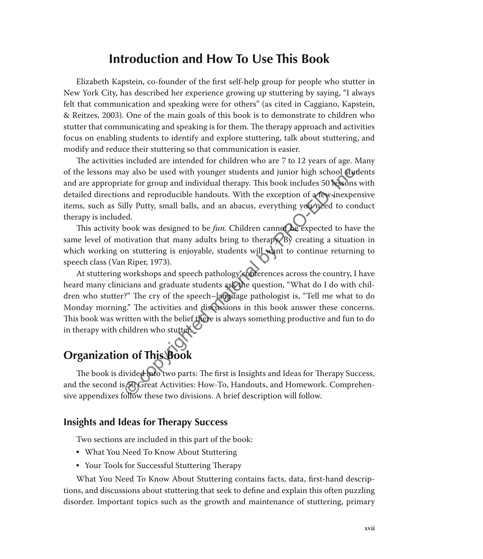## **Introduction and How To Use This Book**

Elizabeth Kapstein, co-founder of the first self-help group for people who stutter in New York City, has described her experience growing up stuttering by saying, "I always felt that communication and speaking were for others" (as cited in Caggiano, Kapstein, & Reitzes, 2003). One of the main goals of this book is to demonstrate to children who stutter that communicating and speaking is for them. The therapy approach and activities focus on enabling students to identify and explore stuttering, talk about stuttering, and modify and reduce their stuttering so that communication is easier.

The activities included are intended for children who are 7 to 12 years of age. Many of the lessons may also be used with younger students and junior high school students and are appropriate for group and individual therapy. This book includes 50 lessons with detailed directions and reproducible handouts. With the exception of a few inexpensive items, such as Silly Putty, small balls, and an abacus, everything you need to conduct therapy is included.

This activity book was designed to be *fun*. Children cannot be expected to have the same level of motivation that many adults bring to therapy. By creating a situation in which working on stuttering is enjoyable, students will want to continue returning to speech class (Van Riper, 1973).

At stuttering workshops and speech pathology conferences across the country, I have heard many clinicians and graduate students ask the question, "What do I do with children who stutter?" The cry of the speech–language pathologist is, "Tell me what to do Monday morning." The activities and discussions in this book answer these concerns. This book was written with the belief there is always something productive and fun to do in therapy with children who stutter. ay also be used with younger students and junior high school **Cycludiate** for group and individual therapy. This book includes 50 **besons**<br>
and reproducible handouts. With the exception of **arew**-inexperiently Putty, small

# **Organization of This Book**

The book is divided into two parts: The first is Insights and Ideas for Therapy Success, and the second is **50** Great Activities: How-To, Handouts, and Homework. Comprehensive appendixes follow these two divisions. A brief description will follow.

#### **Insights and Ideas for Therapy Success**

Two sections are included in this part of the book:

- What You Need To Know About Stuttering
- Your Tools for Successful Stuttering Therapy

What You Need To Know About Stuttering contains facts, data, first-hand descriptions, and discussions about stuttering that seek to define and explain this often puzzling disorder. Important topics such as the growth and maintenance of stuttering, primary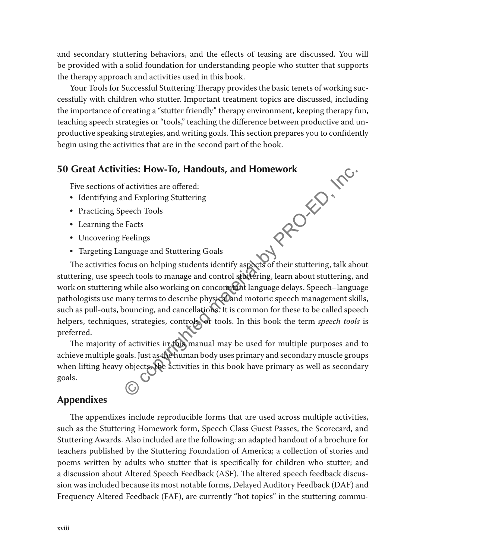and secondary stuttering behaviors, and the effects of teasing are discussed. You will be provided with a solid foundation for understanding people who stutter that supports the therapy approach and activities used in this book.

Your Tools for Successful Stuttering Therapy provides the basic tenets of working successfully with children who stutter. Important treatment topics are discussed, including the importance of creating a "stutter friendly" therapy environment, keeping therapy fun, teaching speech strategies or "tools," teaching the difference between productive and unproductive speaking strategies, and writing goals. This section prepares you to confidently begin using the activities that are in the second part of the book.

#### **50 Great Activities: How-To, Handouts, and Homework**

Five sections of activities are offered:

- Identifying and Exploring Stuttering
- Practicing Speech Tools
- Learning the Facts
- Uncovering Feelings
- Targeting Language and Stuttering Goals

The activities focus on helping students identify aspects of their stuttering, talk about stuttering, use speech tools to manage and control stuttering, learn about stuttering, and work on stuttering while also working on concomitant language delays. Speech–language pathologists use many terms to describe physical and motoric speech management skills, such as pull-outs, bouncing, and cancellations. It is common for these to be called speech helpers, techniques, strategies, controls, or tools. In this book the term *speech tools* is preferred. **M PRO-ED, Inc.** 

The majority of activities in this manual may be used for multiple purposes and to achieve multiple goals. Just as the human body uses primary and secondary muscle groups when lifting heavy objects, the activities in this book have primary as well as secondary goals.

#### **Appendixes**

The appendixes include reproducible forms that are used across multiple activities, such as the Stuttering Homework form, Speech Class Guest Passes, the Scorecard, and Stuttering Awards. Also included are the following: an adapted handout of a brochure for teachers published by the Stuttering Foundation of America; a collection of stories and poems written by adults who stutter that is specifically for children who stutter; and a discussion about Altered Speech Feedback (ASF). The altered speech feedback discussion was included because its most notable forms, Delayed Auditory Feedback (DAF) and Frequency Altered Feedback (FAF), are currently "hot topics" in the stuttering commu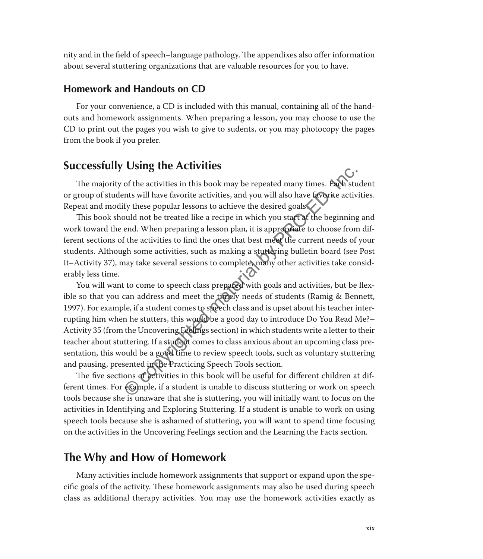nity and in the field of speech–language pathology. The appendixes also offer information about several stuttering organizations that are valuable resources for you to have.

#### **Homework and Handouts on CD**

For your convenience, a CD is included with this manual, containing all of the handouts and homework assignments. When preparing a lesson, you may choose to use the CD to print out the pages you wish to give to sudents, or you may photocopy the pages from the book if you prefer.

### **Successfully Using the Activities**

The majority of the activities in this book may be repeated many times. Each student or group of students will have favorite activities, and you will also have favorite activities. Repeat and modify these popular lessons to achieve the desired goals.

This book should not be treated like a recipe in which you start at the beginning and work toward the end. When preparing a lesson plan, it is appropriate to choose from different sections of the activities to find the ones that best meet the current needs of your students. Although some activities, such as making a stuttering bulletin board (see Post It–Activity 37), may take several sessions to complete, many other activities take considerably less time.

You will want to come to speech class prepared with goals and activities, but be flexible so that you can address and meet the timely needs of students (Ramig & Bennett, 1997). For example, if a student comes to speech class and is upset about his teacher interrupting him when he stutters, this would be a good day to introduce Do You Read Me?– Activity 35 (from the Uncovering Feelings section) in which students write a letter to their teacher about stuttering. If a student comes to class anxious about an upcoming class presentation, this would be a good time to review speech tools, such as voluntary stuttering and pausing, presented in the Practicing Speech Tools section. Computer Activities<br>
of the activities in this book may be repeated many times. Each stunts will have favorite activities, and you will also have favorite activ<br>
fy these popular lessons to achieve the desired goals.<br>
Subu

The five sections of activities in this book will be useful for different children at different times. For example, if a student is unable to discuss stuttering or work on speech tools because she is unaware that she is stuttering, you will initially want to focus on the activities in Identifying and Exploring Stuttering. If a student is unable to work on using speech tools because she is ashamed of stuttering, you will want to spend time focusing on the activities in the Uncovering Feelings section and the Learning the Facts section.

### **The Why and How of Homework**

Many activities include homework assignments that support or expand upon the specific goals of the activity. These homework assignments may also be used during speech class as additional therapy activities. You may use the homework activities exactly as